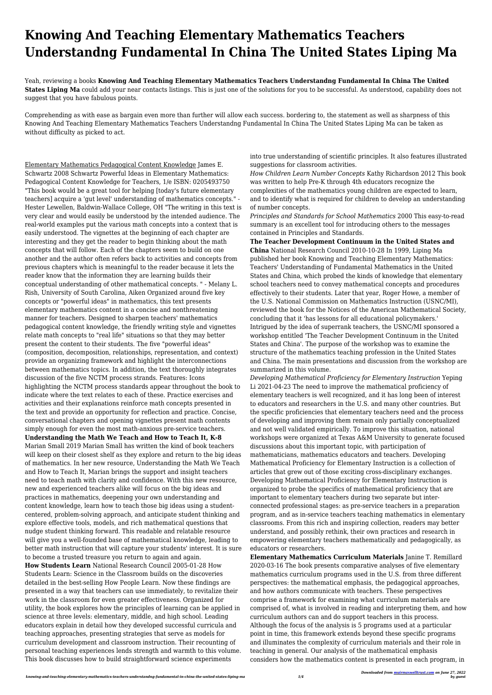## **Knowing And Teaching Elementary Mathematics Teachers Understandng Fundamental In China The United States Liping Ma**

Yeah, reviewing a books **Knowing And Teaching Elementary Mathematics Teachers Understandng Fundamental In China The United** States Liping Ma could add your near contacts listings. This is just one of the solutions for you to be successful. As understood, capability does not suggest that you have fabulous points.

Comprehending as with ease as bargain even more than further will allow each success. bordering to, the statement as well as sharpness of this Knowing And Teaching Elementary Mathematics Teachers Understandng Fundamental In China The United States Liping Ma can be taken as without difficulty as picked to act.

Elementary Mathematics Pedagogical Content Knowledge James E. Schwartz 2008 Schwartz Powerful Ideas in Elementary Mathematics: Pedagogical Content Knowledge for Teachers, 1/e ISBN: 0205493750 "This book would be a great tool for helping [today's future elementary teachers] acquire a 'gut level' understanding of mathematics concepts." - Hester Lewellen, Baldwin-Wallace College, OH "The writing in this text is very clear and would easily be understood by the intended audience. The real-world examples put the various math concepts into a context that is easily understood. The vignettes at the beginning of each chapter are interesting and they get the reader to begin thinking about the math concepts that will follow. Each of the chapters seem to build on one another and the author often refers back to activities and concepts from previous chapters which is meaningful to the reader because it lets the reader know that the information they are learning builds their conceptual understanding of other mathematical concepts. " - Melany L. Rish, University of South Carolina, Aiken Organized around five key concepts or "powerful ideas" in mathematics, this text presents elementary mathematics content in a concise and nonthreatening manner for teachers. Designed to sharpen teachers' mathematics pedagogical content knowledge, the friendly writing style and vignettes relate math concepts to "real life" situations so that they may better present the content to their students. The five "powerful ideas" (composition, decomposition, relationships, representation, and context) provide an organizing framework and highlight the interconnections between mathematics topics. In addition, the text thoroughly integrates discussion of the five NCTM process strands. Features: Icons highlighting the NCTM process standards appear throughout the book to indicate where the text relates to each of these. Practice exercises and activities and their explanations reinforce math concepts presented in the text and provide an opportunity for reflection and practice. Concise, conversational chapters and opening vignettes present math contents simply enough for even the most math-anxious pre-service teachers. **Understanding the Math We Teach and How to Teach It, K-8** Marian Small 2019 Marian Small has written the kind of book teachers will keep on their closest shelf as they explore and return to the big ideas of mathematics. In her new resource, Understanding the Math We Teach and How to Teach It, Marian brings the support and insight teachers need to teach math with clarity and confidence. With this new resource, new and experienced teachers alike will focus on the big ideas and practices in mathematics, deepening your own understanding and content knowledge, learn how to teach those big ideas using a studentcentered, problem-solving approach, and anticipate student thinking and explore effective tools, models, and rich mathematical questions that nudge student thinking forward. This readable and relatable resource will give you a well-founded base of mathematical knowledge, leading to better math instruction that will capture your students' interest. It is sure to become a trusted treasure you return to again and again. **How Students Learn** National Research Council 2005-01-28 How Students Learn: Science in the Classroom builds on the discoveries detailed in the best-selling How People Learn. Now these findings are presented in a way that teachers can use immediately, to revitalize their work in the classroom for even greater effectiveness. Organized for utility, the book explores how the principles of learning can be applied in science at three levels: elementary, middle, and high school. Leading educators explain in detail how they developed successful curricula and teaching approaches, presenting strategies that serve as models for curriculum development and classroom instruction. Their recounting of personal teaching experiences lends strength and warmth to this volume. This book discusses how to build straightforward science experiments

into true understanding of scientific principles. It also features illustrated suggestions for classroom activities.

*How Children Learn Number Concepts* Kathy Richardson 2012 This book was written to help Pre-K through 4th educators recognize the complexities of the mathematics young children are expected to learn, and to identify what is required for children to develop an understanding of number concepts.

*Principles and Standards for School Mathematics* 2000 This easy-to-read summary is an excellent tool for introducing others to the messages contained in Principles and Standards.

**The Teacher Development Continuum in the United States and China** National Research Council 2010-10-28 In 1999, Liping Ma published her book Knowing and Teaching Elementary Mathematics: Teachers' Understanding of Fundamental Mathematics in the United States and China, which probed the kinds of knowledge that elementary school teachers need to convey mathematical concepts and procedures effectively to their students. Later that year, Roger Howe, a member of the U.S. National Commission on Mathematics Instruction (USNC/MI), reviewed the book for the Notices of the American Mathematical Society, concluding that it 'has lessons for all educational policymakers.' Intrigued by the idea of superrank teachers, the USNC/MI sponsored a workshop entitled 'The Teacher Development Continuum in the United States and China'. The purpose of the workshop was to examine the structure of the mathematics teaching profession in the United States and China. The main presentations and discussion from the workshop are summarized in this volume.

*Developing Mathematical Proficiency for Elementary Instruction* Yeping Li 2021-04-23 The need to improve the mathematical proficiency of elementary teachers is well recognized, and it has long been of interest to educators and researchers in the U.S. and many other countries. But the specific proficiencies that elementary teachers need and the process of developing and improving them remain only partially conceptualized and not well validated empirically. To improve this situation, national workshops were organized at Texas A&M University to generate focused discussions about this important topic, with participation of mathematicians, mathematics educators and teachers. Developing Mathematical Proficiency for Elementary Instruction is a collection of articles that grew out of those exciting cross-disciplinary exchanges. Developing Mathematical Proficiency for Elementary Instruction is organized to probe the specifics of mathematical proficiency that are important to elementary teachers during two separate but interconnected professional stages: as pre-service teachers in a preparation program, and as in-service teachers teaching mathematics in elementary classrooms. From this rich and inspiring collection, readers may better understand, and possibly rethink, their own practices and research in empowering elementary teachers mathematically and pedagogically, as educators or researchers. **Elementary Mathematics Curriculum Materials** Janine T. Remillard 2020-03-16 The book presents comparative analyses of five elementary mathematics curriculum programs used in the U.S. from three different perspectives: the mathematical emphasis, the pedagogical approaches, and how authors communicate with teachers. These perspectives comprise a framework for examining what curriculum materials are comprised of, what is involved in reading and interpreting them, and how curriculum authors can and do support teachers in this process. Although the focus of the analysis is 5 programs used at a particular point in time, this framework extends beyond these specific programs and illuminates the complexity of curriculum materials and their role in teaching in general. Our analysis of the mathematical emphasis considers how the mathematics content is presented in each program, in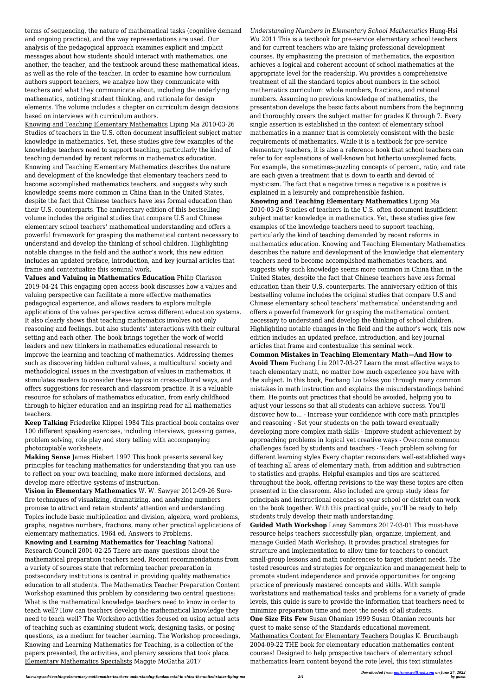terms of sequencing, the nature of mathematical tasks (cognitive demand and ongoing practice), and the way representations are used. Our analysis of the pedagogical approach examines explicit and implicit messages about how students should interact with mathematics, one another, the teacher, and the textbook around these mathematical ideas, as well as the role of the teacher. In order to examine how curriculum authors support teachers, we analyze how they communicate with teachers and what they communicate about, including the underlying mathematics, noticing student thinking, and rationale for design elements. The volume includes a chapter on curriculum design decisions based on interviews with curriculum authors.

Knowing and Teaching Elementary Mathematics Liping Ma 2010-03-26 Studies of teachers in the U.S. often document insufficient subject matter knowledge in mathematics. Yet, these studies give few examples of the knowledge teachers need to support teaching, particularly the kind of teaching demanded by recent reforms in mathematics education. Knowing and Teaching Elementary Mathematics describes the nature and development of the knowledge that elementary teachers need to become accomplished mathematics teachers, and suggests why such knowledge seems more common in China than in the United States, despite the fact that Chinese teachers have less formal education than their U.S. counterparts. The anniversary edition of this bestselling volume includes the original studies that compare U.S and Chinese elementary school teachers' mathematical understanding and offers a powerful framework for grasping the mathematical content necessary to understand and develop the thinking of school children. Highlighting notable changes in the field and the author's work, this new edition includes an updated preface, introduction, and key journal articles that frame and contextualize this seminal work.

**Values and Valuing in Mathematics Education** Philip Clarkson 2019-04-24 This engaging open access book discusses how a values and valuing perspective can facilitate a more effective mathematics pedagogical experience, and allows readers to explore multiple applications of the values perspective across different education systems. It also clearly shows that teaching mathematics involves not only reasoning and feelings, but also students' interactions with their cultural setting and each other. The book brings together the work of world leaders and new thinkers in mathematics educational research to improve the learning and teaching of mathematics. Addressing themes such as discovering hidden cultural values, a multicultural society and methodological issues in the investigation of values in mathematics, it stimulates readers to consider these topics in cross-cultural ways, and offers suggestions for research and classroom practice. It is a valuable resource for scholars of mathematics education, from early childhood through to higher education and an inspiring read for all mathematics teachers.

**Keep Talking** Friederike Klippel 1984 This practical book contains over 100 different speaking exercises, including interviews, guessing games, problem solving, role play and story telling with accompanying photocopiable worksheets.

**Making Sense** James Hiebert 1997 This book presents several key principles for teaching mathematics for understanding that you can use to reflect on your own teaching, make more informed decisions, and develop more effective systems of instruction.

**Vision in Elementary Mathematics** W. W. Sawyer 2012-09-26 Surefire techniques of visualizing, dramatizing, and analyzing numbers promise to attract and retain students' attention and understanding. Topics include basic multiplication and division, algebra, word problems, graphs, negative numbers, fractions, many other practical applications of elementary mathematics. 1964 ed. Answers to Problems. **Knowing and Learning Mathematics for Teaching** National Research Council 2001-02-25 There are many questions about the mathematical preparation teachers need. Recent recommendations from a variety of sources state that reforming teacher preparation in postsecondary institutions is central in providing quality mathematics education to all students. The Mathematics Teacher Preparation Content Workshop examined this problem by considering two central questions: What is the mathematical knowledge teachers need to know in order to teach well? How can teachers develop the mathematical knowledge they need to teach well? The Workshop activities focused on using actual acts of teaching such as examining student work, designing tasks, or posing questions, as a medium for teacher learning. The Workshop proceedings, Knowing and Learning Mathematics for Teaching, is a collection of the papers presented, the activities, and plenary sessions that took place. Elementary Mathematics Specialists Maggie McGatha 2017

*Understanding Numbers in Elementary School Mathematics* Hung-Hsi Wu 2011 This is a textbook for pre-service elementary school teachers and for current teachers who are taking professional development courses. By emphasizing the precision of mathematics, the exposition achieves a logical and coherent account of school mathematics at the appropriate level for the readership. Wu provides a comprehensive treatment of all the standard topics about numbers in the school mathematics curriculum: whole numbers, fractions, and rational numbers. Assuming no previous knowledge of mathematics, the presentation develops the basic facts about numbers from the beginning and thoroughly covers the subject matter for grades K through 7. Every single assertion is established in the context of elementary school mathematics in a manner that is completely consistent with the basic requirements of mathematics. While it is a textbook for pre-service elementary teachers, it is also a reference book that school teachers can refer to for explanations of well-known but hitherto unexplained facts. For example, the sometimes-puzzling concepts of percent, ratio, and rate are each given a treatment that is down to earth and devoid of mysticism. The fact that a negative times a negative is a positive is explained in a leisurely and comprehensible fashion.

**Knowing and Teaching Elementary Mathematics** Liping Ma 2010-03-26 Studies of teachers in the U.S. often document insufficient subject matter knowledge in mathematics. Yet, these studies give few examples of the knowledge teachers need to support teaching, particularly the kind of teaching demanded by recent reforms in mathematics education. Knowing and Teaching Elementary Mathematics describes the nature and development of the knowledge that elementary teachers need to become accomplished mathematics teachers, and suggests why such knowledge seems more common in China than in the United States, despite the fact that Chinese teachers have less formal education than their U.S. counterparts. The anniversary edition of this bestselling volume includes the original studies that compare U.S and Chinese elementary school teachers' mathematical understanding and offers a powerful framework for grasping the mathematical content necessary to understand and develop the thinking of school children. Highlighting notable changes in the field and the author's work, this new edition includes an updated preface, introduction, and key journal articles that frame and contextualize this seminal work.

**Common Mistakes in Teaching Elementary Math—And How to Avoid Them** Fuchang Liu 2017-03-27 Learn the most effective ways to teach elementary math, no matter how much experience you have with the subject. In this book, Fuchang Liu takes you through many common mistakes in math instruction and explains the misunderstandings behind them. He points out practices that should be avoided, helping you to adjust your lessons so that all students can achieve success. You'll discover how to... - Increase your confidence with core math principles and reasoning - Set your students on the path toward eventually developing more complex math skills - Improve student achievement by approaching problems in logical yet creative ways - Overcome common challenges faced by students and teachers - Teach problem solving for different learning styles Every chapter reconsiders well-established ways of teaching all areas of elementary math, from addition and subtraction to statistics and graphs. Helpful examples and tips are scattered throughout the book, offering revisions to the way these topics are often presented in the classroom. Also included are group study ideas for principals and instructional coaches so your school or district can work on the book together. With this practical guide, you'll be ready to help students truly develop their math understanding. **Guided Math Workshop** Laney Sammons 2017-03-01 This must-have resource helps teachers successfully plan, organize, implement, and manage Guided Math Workshop. It provides practical strategies for structure and implementation to allow time for teachers to conduct small-group lessons and math conferences to target student needs. The tested resources and strategies for organization and management help to promote student independence and provide opportunities for ongoing practice of previously mastered concepts and skills. With sample workstations and mathematical tasks and problems for a variety of grade levels, this guide is sure to provide the information that teachers need to minimize preparation time and meet the needs of all students. **One Size Fits Few** Susan Ohanian 1999 Susan Ohanian recounts her quest to make sense of the Standards educational movement. Mathematics Content for Elementary Teachers Douglas K. Brumbaugh 2004-09-22 THE book for elementary education mathematics content courses! Designed to help prospective teachers of elementary school mathematics learn content beyond the rote level, this text stimulates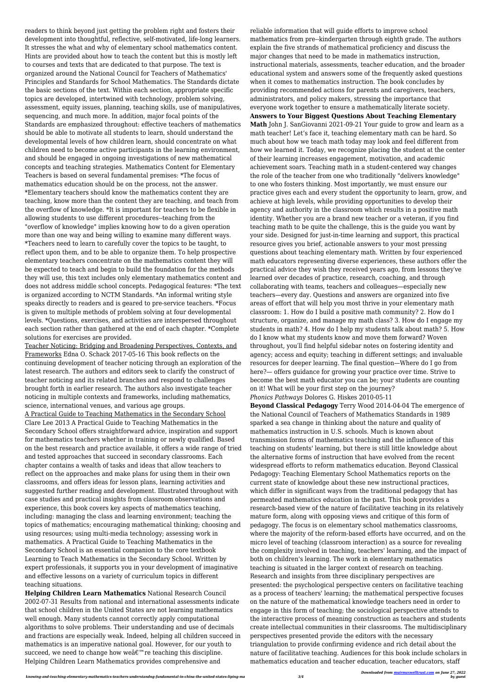readers to think beyond just getting the problem right and fosters their development into thoughtful, reflective, self-motivated, life-long learners. It stresses the what and why of elementary school mathematics content. Hints are provided about how to teach the content but this is mostly left to courses and texts that are dedicated to that purpose. The text is organized around the National Council for Teachers of Mathematics' Principles and Standards for School Mathematics. The Standards dictate the basic sections of the text. Within each section, appropriate specific topics are developed, intertwined with technology, problem solving, assessment, equity issues, planning, teaching skills, use of manipulatives, sequencing, and much more. In addition, major focal points of the Standards are emphasized throughout: effective teachers of mathematics should be able to motivate all students to learn, should understand the developmental levels of how children learn, should concentrate on what children need to become active participants in the learning environment, and should be engaged in ongoing investigations of new mathematical concepts and teaching strategies. Mathematics Content for Elementary Teachers is based on several fundamental premises: \*The focus of mathematics education should be on the process, not the answer. \*Elementary teachers should know the mathematics content they are teaching, know more than the content they are teaching, and teach from the overflow of knowledge. \*It is important for teachers to be flexible in allowing students to use different procedures--teaching from the "overflow of knowledge" implies knowing how to do a given operation more than one way and being willing to examine many different ways. \*Teachers need to learn to carefully cover the topics to be taught, to reflect upon them, and to be able to organize them. To help prospective elementary teachers concentrate on the mathematics content they will be expected to teach and begin to build the foundation for the methods they will use, this text includes only elementary mathematics content and does not address middle school concepts. Pedagogical features: \*The text is organized according to NCTM Standards. \*An informal writing style speaks directly to readers and is geared to pre-service teachers. \*Focus is given to multiple methods of problem solving at four developmental levels. \*Questions, exercises, and activities are interspersed throughout each section rather than gathered at the end of each chapter. \*Complete solutions for exercises are provided.

Teacher Noticing: Bridging and Broadening Perspectives, Contexts, and Frameworks Edna O. Schack 2017-05-16 This book reflects on the continuing development of teacher noticing through an exploration of the latest research. The authors and editors seek to clarify the construct of teacher noticing and its related branches and respond to challenges brought forth in earlier research. The authors also investigate teacher noticing in multiple contexts and frameworks, including mathematics, science, international venues, and various age groups.

A Practical Guide to Teaching Mathematics in the Secondary School Clare Lee 2013 A Practical Guide to Teaching Mathematics in the Secondary School offers straightforward advice, inspiration and support for mathematics teachers whether in training or newly qualified. Based on the best research and practice available, it offers a wide range of tried and tested approaches that succeed in secondary classrooms. Each chapter contains a wealth of tasks and ideas that allow teachers to reflect on the approaches and make plans for using them in their own classrooms, and offers ideas for lesson plans, learning activities and suggested further reading and development. Illustrated throughout with case studies and practical insights from classroom observations and experience, this book covers key aspects of mathematics teaching, including: managing the class and learning environment; teaching the topics of mathematics; encouraging mathematical thinking; choosing and using resources; using multi-media technology; assessing work in mathematics. A Practical Guide to Teaching Mathematics in the Secondary School is an essential companion to the core textbook Learning to Teach Mathematics in the Secondary School. Written by expert professionals, it supports you in your development of imaginative and effective lessons on a variety of curriculum topics in different teaching situations. **Helping Children Learn Mathematics** National Research Council 2002-07-31 Results from national and international assessments indicate that school children in the United States are not learning mathematics well enough. Many students cannot correctly apply computational algorithms to solve problems. Their understanding and use of decimals and fractions are especially weak. Indeed, helping all children succeed in mathematics is an imperative national goal. However, for our youth to succeed, we need to change how wea<sup> $\epsilon$ </sup> re teaching this discipline. Helping Children Learn Mathematics provides comprehensive and

reliable information that will guide efforts to improve school mathematics from pre--kindergarten through eighth grade. The authors explain the five strands of mathematical proficiency and discuss the major changes that need to be made in mathematics instruction, instructional materials, assessments, teacher education, and the broader educational system and answers some of the frequently asked questions when it comes to mathematics instruction. The book concludes by providing recommended actions for parents and caregivers, teachers, administrators, and policy makers, stressing the importance that everyone work together to ensure a mathematically literate society. **Answers to Your Biggest Questions About Teaching Elementary Math** John J. SanGiovanni 2021-09-21 Your guide to grow and learn as a math teacher! Let's face it, teaching elementary math can be hard. So much about how we teach math today may look and feel different from how we learned it. Today, we recognize placing the student at the center of their learning increases engagement, motivation, and academic achievement soars. Teaching math in a student-centered way changes the role of the teacher from one who traditionally "delivers knowledge" to one who fosters thinking. Most importantly, we must ensure our practice gives each and every student the opportunity to learn, grow, and achieve at high levels, while providing opportunities to develop their agency and authority in the classroom which results in a positive math identity. Whether you are a brand new teacher or a veteran, if you find teaching math to be quite the challenge, this is the guide you want by your side. Designed for just-in-time learning and support, this practical resource gives you brief, actionable answers to your most pressing questions about teaching elementary math. Written by four experienced math educators representing diverse experiences, these authors offer the practical advice they wish they received years ago, from lessons they′ve learned over decades of practice, research, coaching, and through collaborating with teams, teachers and colleagues—especially new teachers—every day. Questions and answers are organized into five areas of effort that will help you most thrive in your elementary math classroom: 1. How do I build a positive math community? 2. How do I structure, organize, and manage my math class? 3. How do I engage my students in math? 4. How do I help my students talk about math? 5. How do I know what my students know and move them forward? Woven throughout, you′ll find helpful sidebar notes on fostering identity and agency; access and equity; teaching in different settings; and invaluable resources for deeper learning. The final question—Where do I go from here?— offers guidance for growing your practice over time. Strive to become the best math educator you can be; your students are counting on it! What will be your first step on the journey?

*Phonics Pathways* Dolores G. Hiskes 2010-05-11

**Beyond Classical Pedagogy** Terry Wood 2014-04-04 The emergence of the National Council of Teachers of Mathematics Standards in 1989 sparked a sea change in thinking about the nature and quality of mathematics instruction in U.S. schools. Much is known about transmission forms of mathematics teaching and the influence of this teaching on students' learning, but there is still little knowledge about the alternative forms of instruction that have evolved from the recent widespread efforts to reform mathematics education. Beyond Classical Pedagogy: Teaching Elementary School Mathematics reports on the current state of knowledge about these new instructional practices, which differ in significant ways from the traditional pedagogy that has permeated mathematics education in the past. This book provides a research-based view of the nature of facilitative teaching in its relatively mature form, along with opposing views and critique of this form of pedagogy. The focus is on elementary school mathematics classrooms, where the majority of the reform-based efforts have occurred, and on the micro level of teaching (classroom interaction) as a source for revealing the complexity involved in teaching, teachers' learning, and the impact of both on children's learning. The work in elementary mathematics teaching is situated in the larger context of research on teaching. Research and insights from three disciplinary perspectives are presented: the psychological perspective centers on facilitative teaching as a process of teachers' learning; the mathematical perspective focuses on the nature of the mathematical knowledge teachers need in order to engage in this form of teaching; the sociological perspective attends to the interactive process of meaning construction as teachers and students create intellectual communities in their classrooms. The multidisciplinary perspectives presented provide the editors with the necessary triangulation to provide confirming evidence and rich detail about the nature of facilitative teaching. Audiences for this book include scholars in mathematics education and teacher education, teacher educators, staff